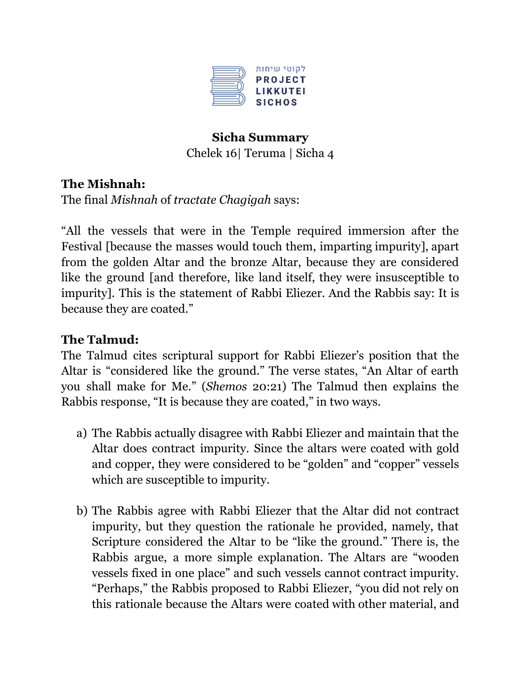

# **Sicha Summary** Chelek 16| Teruma | Sicha 4

### **The Mishnah:**

The final *Mishnah* of *tractate Chagigah* says:

"All the vessels that were in the Temple required immersion after the Festival [because the masses would touch them, imparting impurity], apart from the golden Altar and the bronze Altar, because they are considered like the ground [and therefore, like land itself, they were insusceptible to impurity]. This is the statement of Rabbi Eliezer. And the Rabbis say: It is because they are coated."

### **The Talmud:**

The Talmud cites scriptural support for Rabbi Eliezer's position that the Altar is "considered like the ground." The verse states, "An Altar of earth you shall make for Me." (*Shemos* 20:21) The Talmud then explains the Rabbis response, "It is because they are coated," in two ways.

- a) The Rabbis actually disagree with Rabbi Eliezer and maintain that the Altar does contract impurity. Since the altars were coated with gold and copper, they were considered to be "golden" and "copper" vessels which are susceptible to impurity.
- b) The Rabbis agree with Rabbi Eliezer that the Altar did not contract impurity, but they question the rationale he provided, namely, that Scripture considered the Altar to be "like the ground." There is, the Rabbis argue, a more simple explanation. The Altars are "wooden vessels fixed in one place" and such vessels cannot contract impurity. "Perhaps," the Rabbis proposed to Rabbi Eliezer, "you did not rely on this rationale because the Altars were coated with other material, and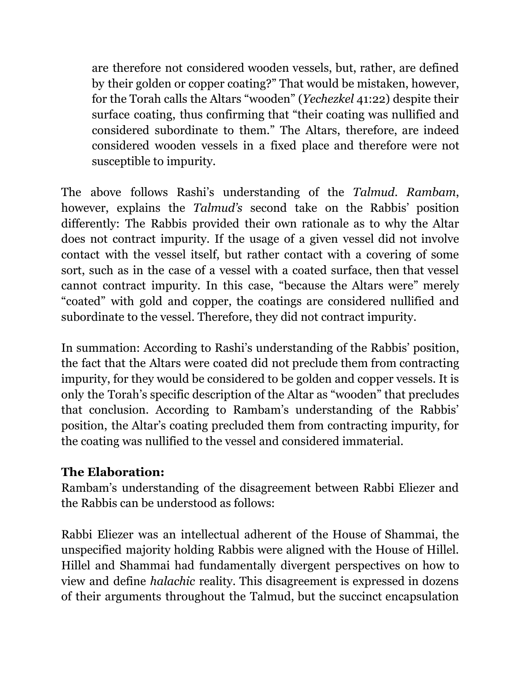are therefore not considered wooden vessels, but, rather, are defined by their golden or copper coating?" That would be mistaken, however, for the Torah calls the Altars "wooden" (*Yechezkel* 41:22) despite their surface coating, thus confirming that "their coating was nullified and considered subordinate to them." The Altars, therefore, are indeed considered wooden vessels in a fixed place and therefore were not susceptible to impurity.

The above follows Rashi's understanding of the *Talmud*. *Rambam*, however, explains the *Talmud's* second take on the Rabbis' position differently: The Rabbis provided their own rationale as to why the Altar does not contract impurity. If the usage of a given vessel did not involve contact with the vessel itself, but rather contact with a covering of some sort, such as in the case of a vessel with a coated surface, then that vessel cannot contract impurity. In this case, "because the Altars were" merely "coated" with gold and copper, the coatings are considered nullified and subordinate to the vessel. Therefore, they did not contract impurity.

In summation: According to Rashi's understanding of the Rabbis' position, the fact that the Altars were coated did not preclude them from contracting impurity, for they would be considered to be golden and copper vessels. It is only the Torah's specific description of the Altar as "wooden" that precludes that conclusion. According to Rambam's understanding of the Rabbis' position, the Altar's coating precluded them from contracting impurity, for the coating was nullified to the vessel and considered immaterial.

### **The Elaboration:**

Rambam's understanding of the disagreement between Rabbi Eliezer and the Rabbis can be understood as follows:

Rabbi Eliezer was an intellectual adherent of the House of Shammai, the unspecified majority holding Rabbis were aligned with the House of Hillel. Hillel and Shammai had fundamentally divergent perspectives on how to view and define *halachic* reality. This disagreement is expressed in dozens of their arguments throughout the Talmud, but the succinct encapsulation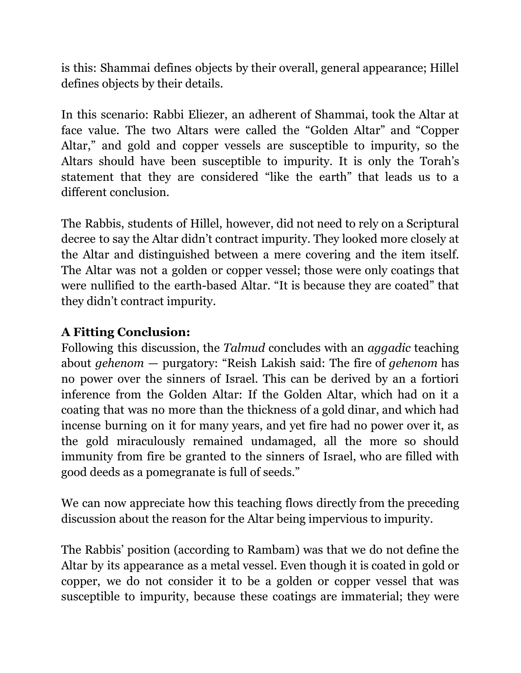is this: Shammai defines objects by their overall, general appearance; Hillel defines objects by their details.

In this scenario: Rabbi Eliezer, an adherent of Shammai, took the Altar at face value. The two Altars were called the "Golden Altar" and "Copper Altar," and gold and copper vessels are susceptible to impurity, so the Altars should have been susceptible to impurity. It is only the Torah's statement that they are considered "like the earth" that leads us to a different conclusion.

The Rabbis, students of Hillel, however, did not need to rely on a Scriptural decree to say the Altar didn't contract impurity. They looked more closely at the Altar and distinguished between a mere covering and the item itself. The Altar was not a golden or copper vessel; those were only coatings that were nullified to the earth-based Altar. "It is because they are coated" that they didn't contract impurity.

## **A Fitting Conclusion:**

Following this discussion, the *Talmud* concludes with an *aggadic* teaching about *gehenom* — purgatory: "Reish Lakish said: The fire of *gehenom* has no power over the sinners of Israel. This can be derived by an a fortiori inference from the Golden Altar: If the Golden Altar, which had on it a coating that was no more than the thickness of a gold dinar, and which had incense burning on it for many years, and yet fire had no power over it, as the gold miraculously remained undamaged, all the more so should immunity from fire be granted to the sinners of Israel, who are filled with good deeds as a pomegranate is full of seeds."

We can now appreciate how this teaching flows directly from the preceding discussion about the reason for the Altar being impervious to impurity.

The Rabbis' position (according to Rambam) was that we do not define the Altar by its appearance as a metal vessel. Even though it is coated in gold or copper, we do not consider it to be a golden or copper vessel that was susceptible to impurity, because these coatings are immaterial; they were